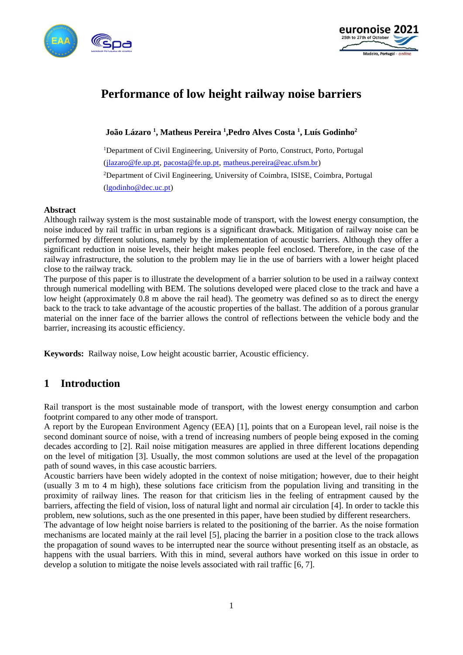



# **Performance of low height railway noise barriers**

**João Lázaro <sup>1</sup> , Matheus Pereira <sup>1</sup> ,Pedro Alves Costa <sup>1</sup> , Luís Godinho<sup>2</sup>**

<sup>1</sup>Department of Civil Engineering, University of Porto, Construct, Porto, Portugal [\(jlazaro@fe.up.pt,](mailto:jlazaro@fe.up.pt) [pacosta@fe.up.pt,](mailto:pacosta@fe.up.pt) [matheus.pereira@eac.ufsm.br\)](mailto:matheus.pereira@eac.ufsm.br) <sup>2</sup>Department of Civil Engineering, University of Coimbra, ISISE, Coimbra, Portugal [\(lgodinho@dec.uc.pt\)](mailto:lgodinho@dec.uc.pt)

#### **Abstract**

Although railway system is the most sustainable mode of transport, with the lowest energy consumption, the noise induced by rail traffic in urban regions is a significant drawback. Mitigation of railway noise can be performed by different solutions, namely by the implementation of acoustic barriers. Although they offer a significant reduction in noise levels, their height makes people feel enclosed. Therefore, in the case of the railway infrastructure, the solution to the problem may lie in the use of barriers with a lower height placed close to the railway track.

The purpose of this paper is to illustrate the development of a barrier solution to be used in a railway context through numerical modelling with BEM. The solutions developed were placed close to the track and have a low height (approximately 0.8 m above the rail head). The geometry was defined so as to direct the energy back to the track to take advantage of the acoustic properties of the ballast. The addition of a porous granular material on the inner face of the barrier allows the control of reflections between the vehicle body and the barrier, increasing its acoustic efficiency.

**Keywords:** Railway noise, Low height acoustic barrier, Acoustic efficiency.

## **1 Introduction**

Rail transport is the most sustainable mode of transport, with the lowest energy consumption and carbon footprint compared to any other mode of transport.

A report by the European Environment Agency (EEA) [1], points that on a European level, rail noise is the second dominant source of noise, with a trend of increasing numbers of people being exposed in the coming decades according to [2]. Rail noise mitigation measures are applied in three different locations depending on the level of mitigation [3]. Usually, the most common solutions are used at the level of the propagation path of sound waves, in this case acoustic barriers.

Acoustic barriers have been widely adopted in the context of noise mitigation; however, due to their height (usually 3 m to 4 m high), these solutions face criticism from the population living and transiting in the proximity of railway lines. The reason for that criticism lies in the feeling of entrapment caused by the barriers, affecting the field of vision, loss of natural light and normal air circulation [4]. In order to tackle this problem, new solutions, such as the one presented in this paper, have been studied by different researchers.

The advantage of low height noise barriers is related to the positioning of the barrier. As the noise formation mechanisms are located mainly at the rail level [5], placing the barrier in a position close to the track allows the propagation of sound waves to be interrupted near the source without presenting itself as an obstacle, as happens with the usual barriers. With this in mind, several authors have worked on this issue in order to develop a solution to mitigate the noise levels associated with rail traffic [6, 7].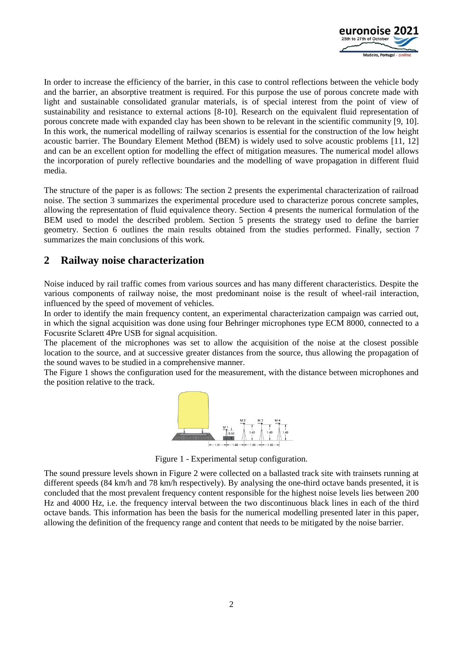

In order to increase the efficiency of the barrier, in this case to control reflections between the vehicle body and the barrier, an absorptive treatment is required. For this purpose the use of porous concrete made with light and sustainable consolidated granular materials, is of special interest from the point of view of sustainability and resistance to external actions [8-10]. Research on the equivalent fluid representation of porous concrete made with expanded clay has been shown to be relevant in the scientific community [9, 10]. In this work, the numerical modelling of railway scenarios is essential for the construction of the low height acoustic barrier. The Boundary Element Method (BEM) is widely used to solve acoustic problems [11, 12] and can be an excellent option for modelling the effect of mitigation measures. The numerical model allows the incorporation of purely reflective boundaries and the modelling of wave propagation in different fluid media.

The structure of the paper is as follows: The section 2 presents the experimental characterization of railroad noise. The section 3 summarizes the experimental procedure used to characterize porous concrete samples, allowing the representation of fluid equivalence theory. Section 4 presents the numerical formulation of the BEM used to model the described problem. Section 5 presents the strategy used to define the barrier geometry. Section 6 outlines the main results obtained from the studies performed. Finally, section 7 summarizes the main conclusions of this work.

## **2 Railway noise characterization**

Noise induced by rail traffic comes from various sources and has many different characteristics. Despite the various components of railway noise, the most predominant noise is the result of wheel-rail interaction, influenced by the speed of movement of vehicles.

In order to identify the main frequency content, an experimental characterization campaign was carried out, in which the signal acquisition was done using four Behringer microphones type ECM 8000, connected to a Focusrite Sclarett 4Pre USB for signal acquisition.

The placement of the microphones was set to allow the acquisition of the noise at the closest possible location to the source, and at successive greater distances from the source, thus allowing the propagation of the sound waves to be studied in a comprehensive manner.

The [Figure 1](#page-1-0) shows the configuration used for the measurement, with the distance between microphones and the position relative to the track.



Figure 1 - Experimental setup configuration.

<span id="page-1-0"></span>The sound pressure levels shown in [Figure 2](#page-2-0) were collected on a ballasted track site with trainsets running at different speeds (84 km/h and 78 km/h respectively). By analysing the one-third octave bands presented, it is concluded that the most prevalent frequency content responsible for the highest noise levels lies between 200 Hz and 4000 Hz, i.e. the frequency interval between the two discontinuous black lines in each of the third octave bands. This information has been the basis for the numerical modelling presented later in this paper, allowing the definition of the frequency range and content that needs to be mitigated by the noise barrier.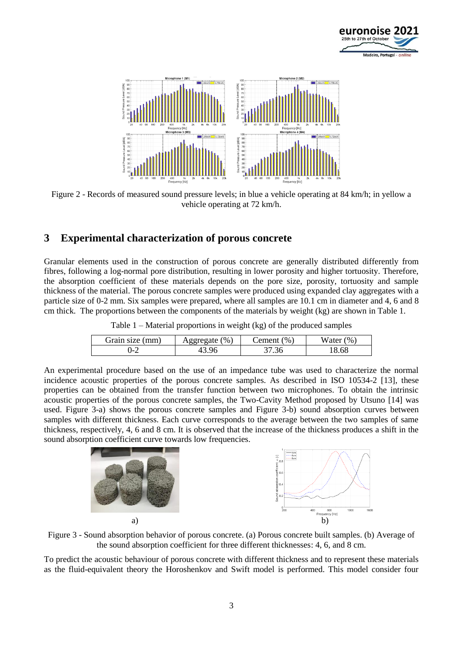



<span id="page-2-0"></span>Figure 2 - Records of measured sound pressure levels; in blue a vehicle operating at 84 km/h; in yellow a vehicle operating at 72 km/h.

### **3 Experimental characterization of porous concrete**

Granular elements used in the construction of porous concrete are generally distributed differently from fibres, following a log-normal pore distribution, resulting in lower porosity and higher tortuosity. Therefore, the absorption coefficient of these materials depends on the pore size, porosity, tortuosity and sample thickness of the material. The porous concrete samples were produced using expanded clay aggregates with a particle size of 0-2 mm. Six samples were prepared, where all samples are 10.1 cm in diameter and 4, 6 and 8 cm thick. The proportions between the components of the materials by weight (kg) are shown i[n Table 1.](#page-2-1)

| Table $1$ – Material proportions in weight (kg) of the produced samples |  |  |
|-------------------------------------------------------------------------|--|--|
|-------------------------------------------------------------------------|--|--|

| Grain size (mm) | $\mathcal{O}_0$<br><u>vegregate</u> | (96)<br>dement ? | Water (%) |
|-----------------|-------------------------------------|------------------|-----------|
| $-2$            | 13.96                               | 37.36            | 8.68      |

<span id="page-2-1"></span>An experimental procedure based on the use of an impedance tube was used to characterize the normal incidence acoustic properties of the porous concrete samples. As described in ISO 10534-2 [13], these properties can be obtained from the transfer function between two microphones. To obtain the intrinsic acoustic properties of the porous concrete samples, the Two-Cavity Method proposed by Utsuno [14] was used. [Figure 3-](#page-2-2)a) shows the porous concrete samples and [Figure 3-](#page-2-2)b) sound absorption curves between samples with different thickness. Each curve corresponds to the average between the two samples of same thickness, respectively, 4, 6 and 8 cm. It is observed that the increase of the thickness produces a shift in the sound absorption coefficient curve towards low frequencies.



<span id="page-2-2"></span>Figure 3 - Sound absorption behavior of porous concrete. (a) Porous concrete built samples. (b) Average of the sound absorption coefficient for three different thicknesses: 4, 6, and 8 cm.

To predict the acoustic behaviour of porous concrete with different thickness and to represent these materials as the fluid-equivalent theory the Horoshenkov and Swift model is performed. This model consider four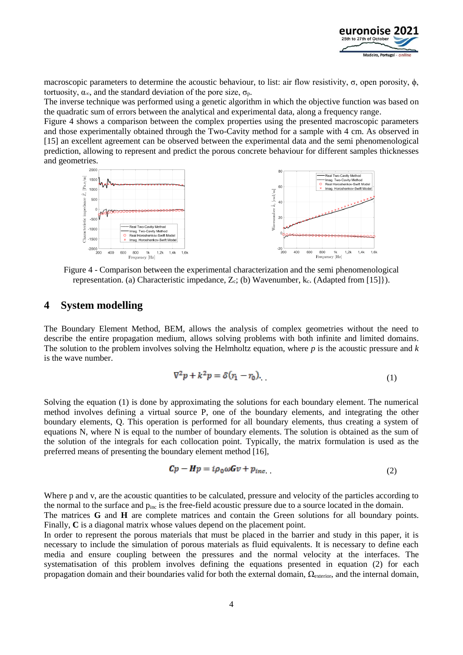

macroscopic parameters to determine the acoustic behaviour, to list: air flow resistivity, σ, open porosity,  $φ$ , tortuosity,  $\alpha_{\infty}$ , and the standard deviation of the pore size,  $\sigma_{\rm n}$ .

The inverse technique was performed using a genetic algorithm in which the objective function was based on the quadratic sum of errors between the analytical and experimental data, along a frequency range.

[Figure 4](#page-3-0) shows a comparison between the complex properties using the presented macroscopic parameters and those experimentally obtained through the Two-Cavity method for a sample with 4 cm. As observed in [15] an excellent agreement can be observed between the experimental data and the semi phenomenological prediction, allowing to represent and predict the porous concrete behaviour for different samples thicknesses and geometries.



<span id="page-3-0"></span>Figure 4 - Comparison between the experimental characterization and the semi phenomenological representation. (a) Characteristic impedance,  $Z_c$ ; (b) Wavenumber, k<sub>c</sub>. (Adapted from [15]}).

#### **4 System modelling**

The Boundary Element Method, BEM, allows the analysis of complex geometries without the need to describe the entire propagation medium, allows solving problems with both infinite and limited domains. The solution to the problem involves solving the Helmholtz equation, where *p* is the acoustic pressure and *k* is the wave number.

$$
\nabla^2 p + k^2 p = \delta(r_1 - r_0). \tag{1}
$$

Solving the equation (1) is done by approximating the solutions for each boundary element. The numerical method involves defining a virtual source P, one of the boundary elements, and integrating the other boundary elements, Q. This operation is performed for all boundary elements, thus creating a system of equations N, where N is equal to the number of boundary elements. The solution is obtained as the sum of the solution of the integrals for each collocation point. Typically, the matrix formulation is used as the preferred means of presenting the boundary element method [16],

$$
Cp - Hp = i\rho_0 \omega Gv + p_{inc} \tag{2}
$$

Where p and v, are the acoustic quantities to be calculated, pressure and velocity of the particles according to the normal to the surface and  $p_{inc}$  is the free-field acoustic pressure due to a source located in the domain.

The matrices **G** and **H** are complete matrices and contain the Green solutions for all boundary points. Finally, C is a diagonal matrix whose values depend on the placement point.

In order to represent the porous materials that must be placed in the barrier and study in this paper, it is necessary to include the simulation of porous materials as fluid equivalents. It is necessary to define each media and ensure coupling between the pressures and the normal velocity at the interfaces. The systematisation of this problem involves defining the equations presented in equation (2) for each propagation domain and their boundaries valid for both the external domain, Ωexterior, and the internal domain,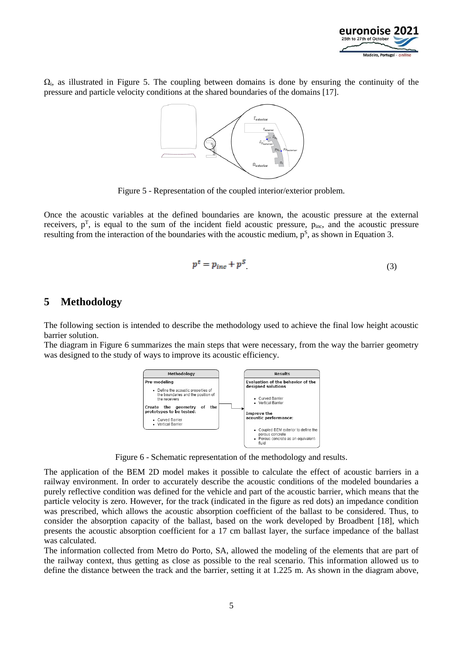

 $\Omega_i$ , as illustrated in [Figure 5.](#page-4-0) The coupling between domains is done by ensuring the continuity of the pressure and particle velocity conditions at the shared boundaries of the domains [17].



Figure 5 - Representation of the coupled interior/exterior problem.

<span id="page-4-0"></span>Once the acoustic variables at the defined boundaries are known, the acoustic pressure at the external receivers,  $p^T$ , is equal to the sum of the incident field acoustic pressure,  $p_{inc}$ , and the acoustic pressure resulting from the interaction of the boundaries with the acoustic medium,  $p^s$ , as shown in Equation 3.

$$
p^t = p_{inc} + p^S \tag{3}
$$

### **5 Methodology**

The following section is intended to describe the methodology used to achieve the final low height acoustic barrier solution.

The diagram in [Figure 6](#page-4-1) summarizes the main steps that were necessary, from the way the barrier geometry was designed to the study of ways to improve its acoustic efficiency.



Figure 6 - Schematic representation of the methodology and results.

<span id="page-4-1"></span>The application of the BEM 2D model makes it possible to calculate the effect of acoustic barriers in a railway environment. In order to accurately describe the acoustic conditions of the modeled boundaries a purely reflective condition was defined for the vehicle and part of the acoustic barrier, which means that the particle velocity is zero. However, for the track (indicated in the figure as red dots) an impedance condition was prescribed, which allows the acoustic absorption coefficient of the ballast to be considered. Thus, to consider the absorption capacity of the ballast, based on the work developed by Broadbent [18], which presents the acoustic absorption coefficient for a 17 cm ballast layer, the surface impedance of the ballast was calculated.

The information collected from Metro do Porto, SA, allowed the modeling of the elements that are part of the railway context, thus getting as close as possible to the real scenario. This information allowed us to define the distance between the track and the barrier, setting it at 1.225 m. As shown in the diagram above,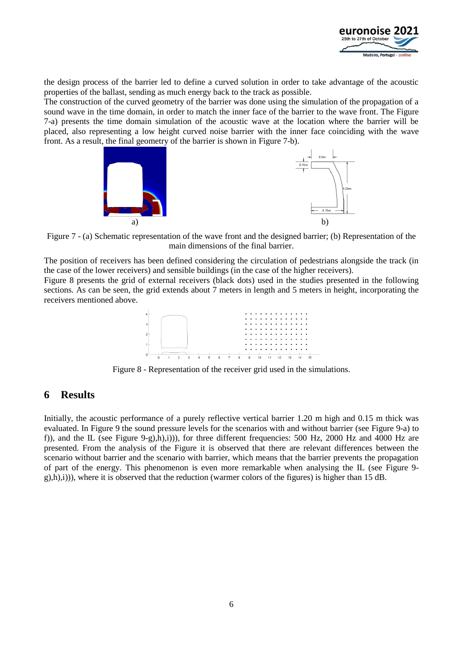

the design process of the barrier led to define a curved solution in order to take advantage of the acoustic properties of the ballast, sending as much energy back to the track as possible.

The construction of the curved geometry of the barrier was done using the simulation of the propagation of a sound wave in the time domain, in order to match the inner face of the barrier to the wave front. The [Figure](#page-5-0)  [7-](#page-5-0)a) presents the time domain simulation of the acoustic wave at the location where the barrier will be placed, also representing a low height curved noise barrier with the inner face coinciding with the wave front. As a result, the final geometry of the barrier is shown in [Figure 7-](#page-5-0)b).



<span id="page-5-0"></span>Figure 7 - (a) Schematic representation of the wave front and the designed barrier; (b) Representation of the main dimensions of the final barrier.

The position of receivers has been defined considering the circulation of pedestrians alongside the track (in the case of the lower receivers) and sensible buildings (in the case of the higher receivers).

[Figure 8](#page-5-1) presents the grid of external receivers (black dots) used in the studies presented in the following sections. As can be seen, the grid extends about 7 meters in length and 5 meters in height, incorporating the receivers mentioned above.



Figure 8 - Representation of the receiver grid used in the simulations.

#### <span id="page-5-1"></span>**6 Results**

Initially, the acoustic performance of a purely reflective vertical barrier 1.20 m high and 0.15 m thick was evaluated. In [Figure 9](#page-6-0) the sound pressure levels for the scenarios with and without barrier (see [Figure 9-](#page-6-0)a) to f)), and the IL (see [Figure 9-](#page-6-0)g),h),i))), for three different frequencies: 500 Hz, 2000 Hz and 4000 Hz are presented. From the analysis of the Figure it is observed that there are relevant differences between the scenario without barrier and the scenario with barrier, which means that the barrier prevents the propagation of part of the energy. This phenomenon is even more remarkable when analysing the IL (see [Figure 9](#page-6-0)  $g(h,i)$ ), where it is observed that the reduction (warmer colors of the figures) is higher than 15 dB.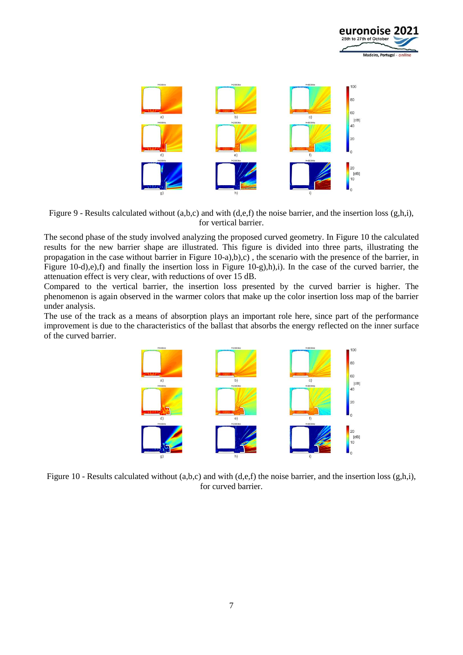



<span id="page-6-0"></span>Figure 9 - Results calculated without (a,b,c) and with (d,e,f) the noise barrier, and the insertion loss (g,h,i), for vertical barrier.

The second phase of the study involved analyzing the proposed curved geometry. In [Figure 10](#page-6-1) the calculated results for the new barrier shape are illustrated. This figure is divided into three parts, illustrating the propagation in the case without barrier in [Figure 10-](#page-6-1)a),b),c) , the scenario with the presence of the barrier, in [Figure 10-](#page-6-1)d),e),f) and finally the insertion loss in [Figure 10-](#page-6-1)g),h),i). In the case of the curved barrier, the attenuation effect is very clear, with reductions of over 15 dB.

Compared to the vertical barrier, the insertion loss presented by the curved barrier is higher. The phenomenon is again observed in the warmer colors that make up the color insertion loss map of the barrier under analysis.

The use of the track as a means of absorption plays an important role here, since part of the performance improvement is due to the characteristics of the ballast that absorbs the energy reflected on the inner surface of the curved barrier.



<span id="page-6-1"></span>Figure 10 - Results calculated without  $(a,b,c)$  and with  $(d,e,f)$  the noise barrier, and the insertion loss  $(g,h,i)$ , for curved barrier.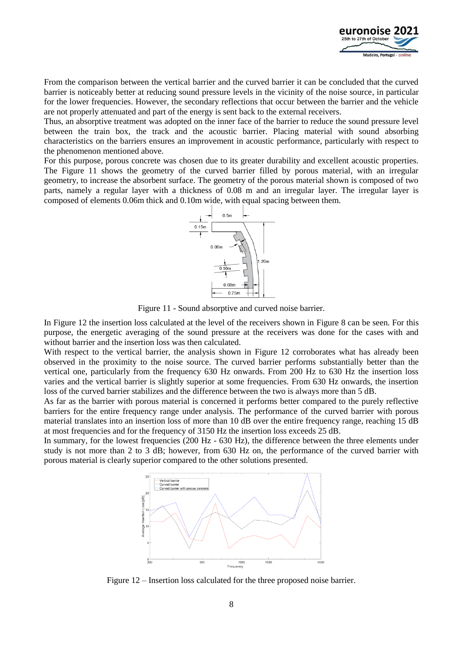

From the comparison between the vertical barrier and the curved barrier it can be concluded that the curved barrier is noticeably better at reducing sound pressure levels in the vicinity of the noise source, in particular for the lower frequencies. However, the secondary reflections that occur between the barrier and the vehicle are not properly attenuated and part of the energy is sent back to the external receivers.

Thus, an absorptive treatment was adopted on the inner face of the barrier to reduce the sound pressure level between the train box, the track and the acoustic barrier. Placing material with sound absorbing characteristics on the barriers ensures an improvement in acoustic performance, particularly with respect to the phenomenon mentioned above.

For this purpose, porous concrete was chosen due to its greater durability and excellent acoustic properties. The [Figure 11](#page-7-0) shows the geometry of the curved barrier filled by porous material, with an irregular geometry, to increase the absorbent surface. The geometry of the porous material shown is composed of two parts, namely a regular layer with a thickness of 0.08 m and an irregular layer. The irregular layer is composed of elements 0.06m thick and 0.10m wide, with equal spacing between them.



Figure 11 - Sound absorptive and curved noise barrier.

<span id="page-7-0"></span>In [Figure 12](#page-7-1) the insertion loss calculated at the level of the receivers shown in [Figure 8](#page-5-1) can be seen. For this purpose, the energetic averaging of the sound pressure at the receivers was done for the cases with and without barrier and the insertion loss was then calculated.

With respect to the vertical barrier, the analysis shown in [Figure 12](#page-7-1) corroborates what has already been observed in the proximity to the noise source. The curved barrier performs substantially better than the vertical one, particularly from the frequency 630 Hz onwards. From 200 Hz to 630 Hz the insertion loss varies and the vertical barrier is slightly superior at some frequencies. From 630 Hz onwards, the insertion loss of the curved barrier stabilizes and the difference between the two is always more than 5 dB.

As far as the barrier with porous material is concerned it performs better compared to the purely reflective barriers for the entire frequency range under analysis. The performance of the curved barrier with porous material translates into an insertion loss of more than 10 dB over the entire frequency range, reaching 15 dB at most frequencies and for the frequency of 3150 Hz the insertion loss exceeds 25 dB.

In summary, for the lowest frequencies (200 Hz - 630 Hz), the difference between the three elements under study is not more than 2 to 3 dB; however, from 630 Hz on, the performance of the curved barrier with porous material is clearly superior compared to the other solutions presented.



<span id="page-7-1"></span>Figure 12 – Insertion loss calculated for the three proposed noise barrier.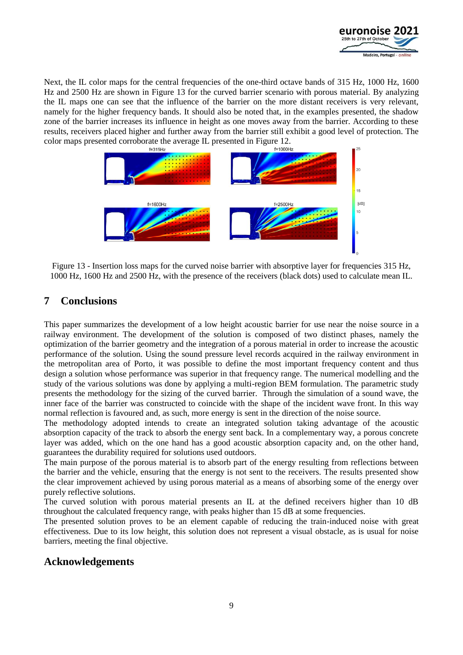

Next, the IL color maps for the central frequencies of the one-third octave bands of 315 Hz, 1000 Hz, 1600 Hz and 2500 Hz are shown in [Figure 13](#page-8-0) for the curved barrier scenario with porous material. By analyzing the IL maps one can see that the influence of the barrier on the more distant receivers is very relevant, namely for the higher frequency bands. It should also be noted that, in the examples presented, the shadow zone of the barrier increases its influence in height as one moves away from the barrier. According to these results, receivers placed higher and further away from the barrier still exhibit a good level of protection. The color maps presented corroborate the average IL presented in [Figure 12.](#page-7-1)



<span id="page-8-0"></span>Figure 13 - Insertion loss maps for the curved noise barrier with absorptive layer for frequencies 315 Hz, 1000 Hz, 1600 Hz and 2500 Hz, with the presence of the receivers (black dots) used to calculate mean IL.

## **7 Conclusions**

This paper summarizes the development of a low height acoustic barrier for use near the noise source in a railway environment. The development of the solution is composed of two distinct phases, namely the optimization of the barrier geometry and the integration of a porous material in order to increase the acoustic performance of the solution. Using the sound pressure level records acquired in the railway environment in the metropolitan area of Porto, it was possible to define the most important frequency content and thus design a solution whose performance was superior in that frequency range. The numerical modelling and the study of the various solutions was done by applying a multi-region BEM formulation. The parametric study presents the methodology for the sizing of the curved barrier. Through the simulation of a sound wave, the inner face of the barrier was constructed to coincide with the shape of the incident wave front. In this way normal reflection is favoured and, as such, more energy is sent in the direction of the noise source.

The methodology adopted intends to create an integrated solution taking advantage of the acoustic absorption capacity of the track to absorb the energy sent back. In a complementary way, a porous concrete layer was added, which on the one hand has a good acoustic absorption capacity and, on the other hand, guarantees the durability required for solutions used outdoors.

The main purpose of the porous material is to absorb part of the energy resulting from reflections between the barrier and the vehicle, ensuring that the energy is not sent to the receivers. The results presented show the clear improvement achieved by using porous material as a means of absorbing some of the energy over purely reflective solutions.

The curved solution with porous material presents an IL at the defined receivers higher than 10 dB throughout the calculated frequency range, with peaks higher than 15 dB at some frequencies.

The presented solution proves to be an element capable of reducing the train-induced noise with great effectiveness. Due to its low height, this solution does not represent a visual obstacle, as is usual for noise barriers, meeting the final objective.

### **Acknowledgements**